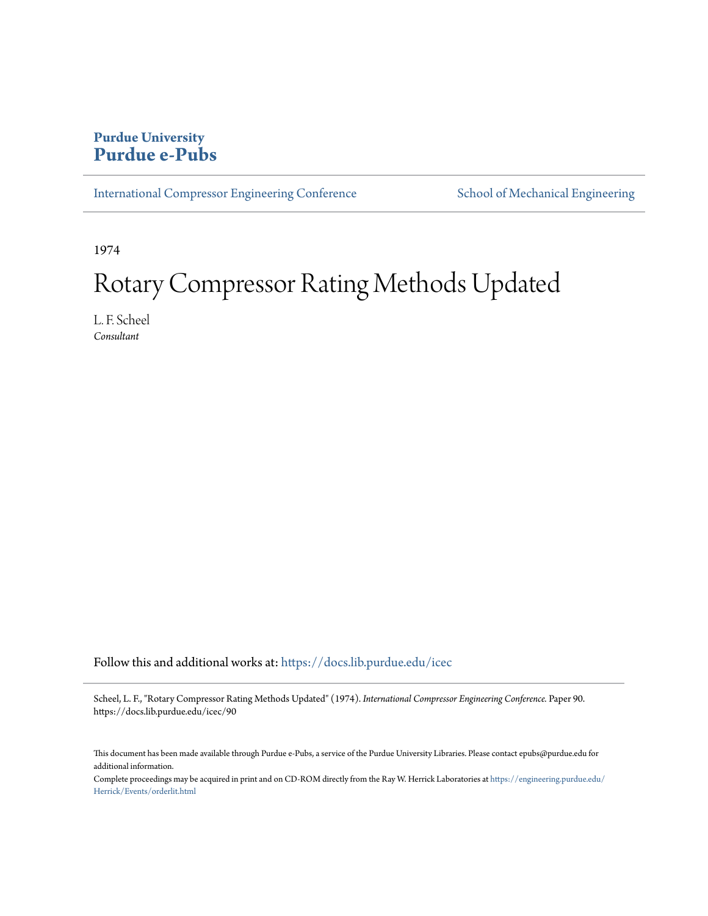## **Purdue University [Purdue e-Pubs](https://docs.lib.purdue.edu?utm_source=docs.lib.purdue.edu%2Ficec%2F90&utm_medium=PDF&utm_campaign=PDFCoverPages)**

[International Compressor Engineering Conference](https://docs.lib.purdue.edu/icec?utm_source=docs.lib.purdue.edu%2Ficec%2F90&utm_medium=PDF&utm_campaign=PDFCoverPages) [School of Mechanical Engineering](https://docs.lib.purdue.edu/me?utm_source=docs.lib.purdue.edu%2Ficec%2F90&utm_medium=PDF&utm_campaign=PDFCoverPages)

1974

# Rotary Compressor Rating Methods Updated

L. F. Scheel *Consultant*

Follow this and additional works at: [https://docs.lib.purdue.edu/icec](https://docs.lib.purdue.edu/icec?utm_source=docs.lib.purdue.edu%2Ficec%2F90&utm_medium=PDF&utm_campaign=PDFCoverPages)

Scheel, L. F., "Rotary Compressor Rating Methods Updated" (1974). *International Compressor Engineering Conference.* Paper 90. https://docs.lib.purdue.edu/icec/90

This document has been made available through Purdue e-Pubs, a service of the Purdue University Libraries. Please contact epubs@purdue.edu for additional information.

Complete proceedings may be acquired in print and on CD-ROM directly from the Ray W. Herrick Laboratories at [https://engineering.purdue.edu/](https://engineering.purdue.edu/Herrick/Events/orderlit.html) [Herrick/Events/orderlit.html](https://engineering.purdue.edu/Herrick/Events/orderlit.html)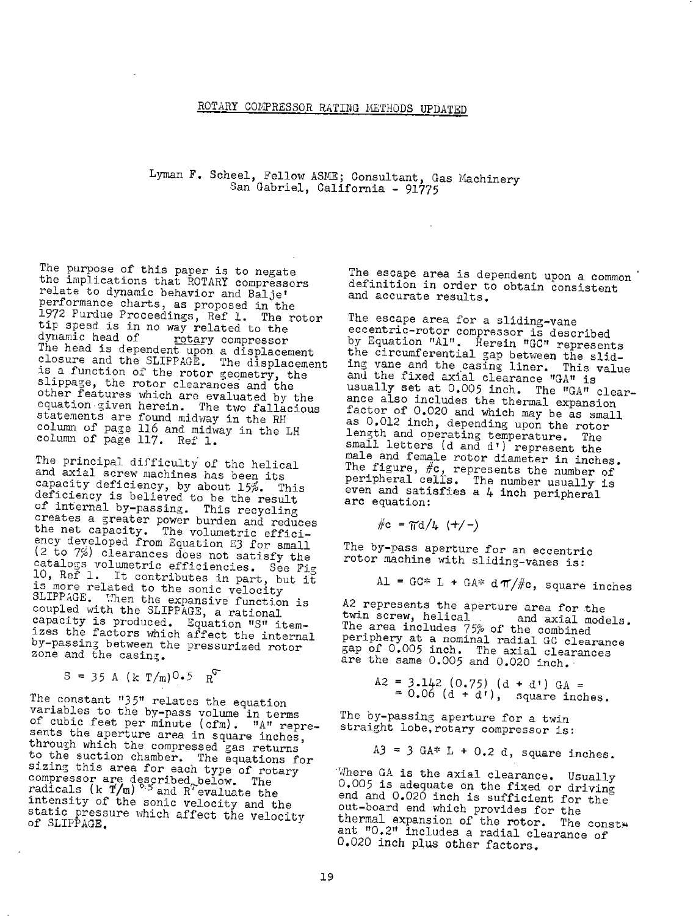### ROTARY COMPRESSOR RATING ME'rHODS UPDATED

# Lyman F. Scheel, Fellow ASME; Consultant, Gas Machinery San Gabriel, California - 91775

The purpose of this paper is to negate<br>the implications that ROTARY compressors<br>relate to dynamic behavior and Balje'<br>performance charts, as proposed in the<br>1972 Purdue Proceedings, Ref 1. The rotor<br>tip speed is in no way other features which are evaluated by the<br>equation given herein. The two fallacious<br>statements are found midway in the RH<br>column of page 116 and midway in the LH<br>column of page 117. Ref 1.

The principal difficulty of the helical<br>and axial screw machines has been its<br>capacity deficiency, by about 15%. This<br>deficiency is believed to be the result<br>of internal by-passing. This recycling<br>creates a greater power b (2 to 7%) clearances does not satisfy the catalogs volumetric efficiencies. See Fig 10, Ref 1. It contributes in part, but it is more related to the sonic velocity SLIPPAGE. When the expansive function is coupled with the SLIPPAGE, a rational capacity is produced. Equation "8" item-<br>izes the factors which affect the internal<br>by-passing between the pressurized rotor zone and the casing.

$$
S = 35 A (k T/m) 0.5 RT
$$

The constant "35" relates the equation variables to the by-pass volume in terms of cubic feet per minute ( $cfm$ ). "A" repre-sents the aperture area in square inches, through which the compressed gas returns through which the compressed gas returns<br>to the suction chamber. The equations for<br>sizing this area for each type of rotary<br>compressor are described below. The<br>radicals (k  $\overline{T/m}$ ) <sup>0.5</sup> and R<sup>6</sup> evaluate the intensity of the sonic velocity and the<br>static pressure which affect the velocity<br>of SLIPPAGE.

The escape area is dependent upon a common definition in order to obtain consistent<br>and accurate results.

The escape area for a sliding-vane<br>eccentric-rotor compressor is described<br>by Equation "Al". Herein "GC" represents<br>the circumferential gap between the slid-<br>ing vane and the casing liner. This value<br>and the fixed axial c factor of 0.020 and which may be as small as 0.012 inch, depending upon the rotor length and operating temperature. The<br>small letters (d and d') represent the<br>male and female rotor diameter in inches.<br>The figure,  $\#c$ , represents the number of<br>peripheral cells. The number usually is even and satisfies a  $4$  inch peripheral arc equation:

$$
\#c = \pi d/4 \quad (\pm/-)
$$

The by-pass aperture for an eccentric rotor machine with sliding-vanes is:

Al = GC\* L + GA\* d $\pi/\#$ c, square inches

A2 represents the aperture area for the twin screw, helical and axial models. The area includes 75% of the combined periphery at a nominal radial GC clearance gap of 0.005 inch. The axial clearances are the same 0.005 and 0.020 inch.

> $A2 = 3.142 (0.75) (d + d') GA =$  $=0.06$  (d + d<sup>t</sup>), square inches.

The by-passing aperture for a twin straight lobe,rotary compressor is:

 $A3 = 3$  GA\* L + 0.2 d, square inches.

Where GA is the axial clearance. Usually  $0.005$  is adequate on the fixed or driving end and  $0.020$  inch is sufficient for the out-board end which provides for the ant "0.2" includes a radial clearance of<br>0.020 inch plus other factors.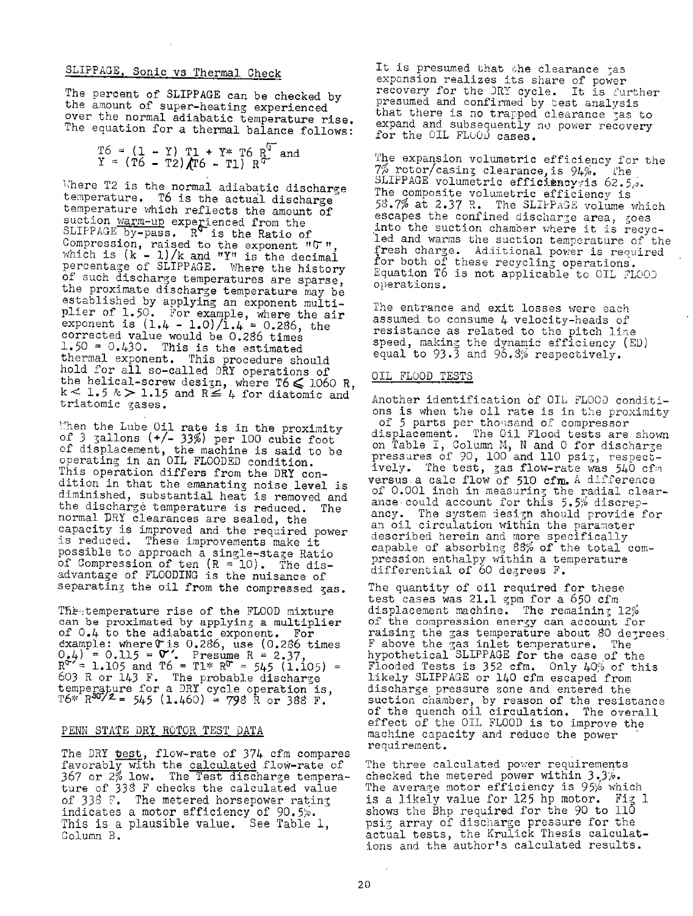## SLIPPAGE, Sonic vs Thermal Check

The percent of SLIPPAGE can be checked by the amount of super-heating experienced over the normal adiabatic temperature rise. The equation for a thermal balance follows:

|  |  |  |  |  | $T6 = (1 - Y) T1 + Y* T6 R^{17}$ and<br>$Y = (T6 - T2) (T6 - T1) R^{17}$ |
|--|--|--|--|--|--------------------------------------------------------------------------|
|  |  |  |  |  |                                                                          |

Where T2 is the normal adiabatic discharge temperature. T6 is the actual discharge temperature which reflects the amount of suction <u>warm-up</u> experienced from the  $S$ LIPPAGE by-pass.  $R^{\vee}$  is the Ratio of Compression, raised to the exponent " $\sigma$  ", which is  $(k - 1)/k$  and "Y" is the decimal of such discharge temperatures are sparse, the proximate discharge temperature may be established by applying an exponent multi<sup>p</sup>lier of 1.50. For example, where the air exponent is  $(1.4 - 1.0)/1.4 = 0.286$ , the corrected value would be 0.286 times  $1.50 = 0.430$ . This is the estimated thermal exponent. This procedure should hold for all so-called DRY operations of the helical-screw design, where T6  $\leq$  1060 R, k < 1.5 & > 1.15 and R  $\leq$  4 for diatomic and triatomic gases.

1. Then the Lube Oil rate is in the proximity of 3  $\frac{3}{2}$  allons (+/- 33%) per 100 cubic foot of displacement, the machine is said to be operating in an OIL FLOODED condition. This operation differs from the DRY condition in that the emanating noise level is diminished, substantial heat is removed and the discharge temperature is reduced. The normal DRY clearances are sealed, the<br>capacity is improved and the required power is reduced. These improvements make it possible to approach a single-stage Ratio of Compression of ten  $(R = 10)$ . The disadvantage of FLOODING is the nuisance of separating the oil from the compressed gas.

The temperature rise of the FLOOD mixture<br>can be proximated by applying a multiplier of 0.4 to the adiabatic exponent. For example: where(ris 0.2S6, use (0,2\$6 times 0.4) = 0.115 = **0"**. Presume R = 2.37,<br>R<sup>T</sup> = 1.105 and T6 = Tl\* R<sup>T</sup> = 545 (1.105) = 603 R or 143 F. The probable discharge temperature for a DRY cycle operation is,<br>T6\* R<sup>3072</sup>= 545 (1.460) = 798 R or 388 F.

#### PENN STATE DRY ROTOR TEST DATA

The DRY test, flow-rate of 374 cfm compares<br>favorably with the <u>calculated</u> flow-rate of <sup>367</sup>or 2% low. The Test discharge temperature of 338 F checks the calculated value of 338 F. The metered horsepower rating indicates a motor efficiency of  $90.5\%$ . This is <sup>a</sup>plausible value, See Table l, Column B.

It is presumed that the clearance jas<br>expansion realizes its share of power recovery for the JRY cycle. It is turther presumed and confirmed by test analysis<br>that there is no trapped clearance jas to that there is no trapped clearance jas to expand and subsequently no power recovery for the OIL FLOOD cases.

The expansion volumetric efficiency for the<br>7% rotor/casing clearance, is 94%. The 7% rotor/casing clearance, is 94%. l'he<br>SLIPPAGE volumetric effi**ciency**yis 62.5,. The composite volumetric efficiency is 58.7% at 2.37 R. The SLIFFAGE volume which escapes the confined discharge area, goes into the suction chamber where it is recycled and warms the suction temperature of the fresh charge. Additional power is required<br>for both of these recycling operations.<br>Equation T6 is not applicable to OIL FLOOJ operations,

The entrance and exit losses were each assumed to consume  $4$  velocity-heads of resistance as related to the pitch line speed, making the dynamic efficiency (ED) equal to 93.3 and 96.3% respectively.

### OIL FLUOD TESTS

Another identification of OIL FLOOD conditions is when the oil rate is in the proximity<br>of 5 parts per thomsand of compressor<br>displacement. The Oil Flood tests are shown on Table I, Column M, N and O for discharge pressures of 90, 100 and 110 psiz, respect-<br>ively. 'The test, zas flow-rate was 540 cf:n ively. The test, gas flow-rate was  $540$  cfm versus a calc flow of  $510$  cfm. A difference of 0.001 inch in measuring the radial clearance could account for this  $5.5\%$  discrepancy. The system iesign should provide for an oil circulation within the parameter<br>described herein and more specifically<br>capable of absorbing 88% of the total compression enthalpy within a temperature differential of 60 degrees F.

The quantity of oil required for these test cases was 21.1 gpm for a 650 cfm<br>displacement machine. The remaining 12% of the compression energy can account for raising the gas temperature about 80 degrees F above the  $_{3}$ as inlet temperature. The hypothetical SLIPPAGE for the case of the  $F$ looded Tests is 352 cfm. Only  $40\%$  of this likely SLIPPAGE or 140 cfm escaped from discharge pressure zone and entered the suction chamber, by reason of the resistance of the quench oil circulation. The overall effect of the OIL FLOOD is to improve the machine capacity and reduce the power requirement.

The three calculated power requirements<br>checked the metered power within *3 3%*.<br>The average motor efficiency is 95% which<br>is a likely value for 125 hp motor. Fig 1 shows the Bhp required for the 90 to 110 psig array of discharge pressure for the actual tests, the Krulick Thesis calculations and the author's calculated results.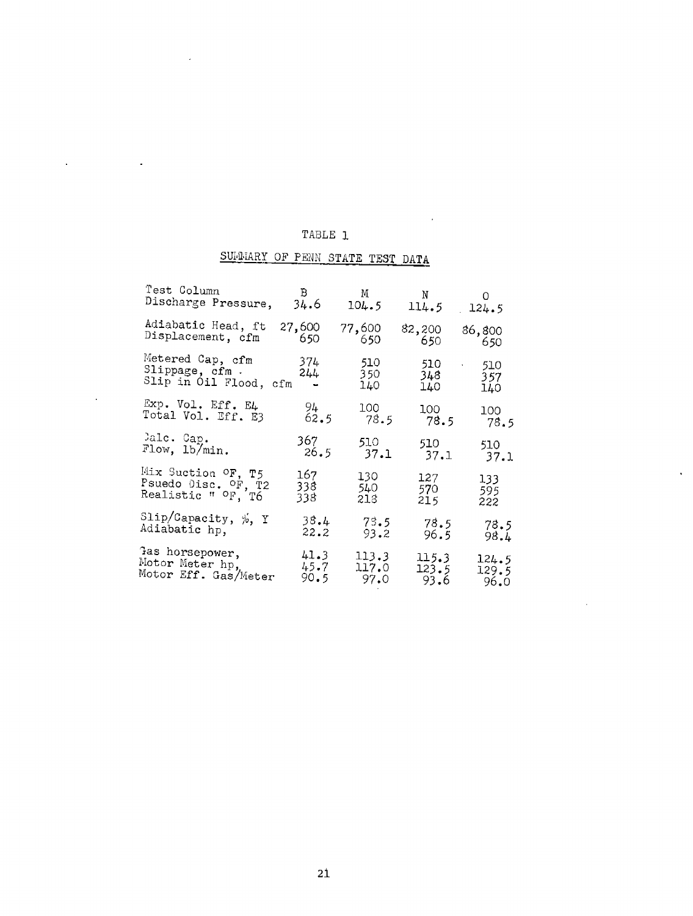## TABLE 1

 $\ddot{\phantom{a}}$ 

 $\ddot{\phantom{a}}$ 

l.

 $\sim$   $\sim$ 

 $\ddot{\phantom{a}}$ 

 $\bar{a}$ 

# SULMIARY OF PENN STATE TEST DATA

| Test Column                                              | $\mathbf{B}$                                  | M                   | N                    | 0                                         |
|----------------------------------------------------------|-----------------------------------------------|---------------------|----------------------|-------------------------------------------|
| Discharge Pressure,                                      | 34.6                                          | 104.5               | 114.5                | 124.5                                     |
| Adiabatic Head, ft                                       | 27,600                                        | 77,600              | 82,200               | 86,800                                    |
| Displacement, cfm                                        | - 650                                         | - 650               | 650                  | - 650                                     |
| Metered Cap, cfm<br>Slippage, cfm.<br>Slip in Oil Flood, | 374<br>244<br>cfm<br>$\overline{\phantom{a}}$ | 510.<br>350.<br>140 | 510.<br>348.<br>140. | 510<br>$\ddot{\phantom{0}}$<br>357<br>140 |
| Exp. Vol. Eff. E4                                        | 94 -                                          | 100                 | 100                  | 100                                       |
| Total Vol. Eff. E3                                       | 62.5                                          | 78.5                | 78.5                 | 78.5                                      |
| Jalc. Cap.                                               | 367.                                          | 510                 | 510                  | 510                                       |
| Flow, 1b/min.                                            | 26.5                                          | 37.1                | 37.1                 | 37.1                                      |
| Mix Suction OF, T5                                       | 167                                           | 130                 | 127                  | 133                                       |
| Psuedo Disc. OF, T2                                      | 338.                                          | 540.                | 570.                 | 595.                                      |
| Realistic " <sup>O</sup> F, T6                           | 338.                                          | 218                 | 215                  | 222                                       |
| Slip/Capacity, $\frac{1}{2}$ , Y                         | 38.4                                          | 73.5                | 78.5                 | 78.5                                      |
| Adiabatic hp,                                            | 22.2                                          | 93.2                | 96.5                 | 98.4                                      |
| Tas horsepower,                                          | 41.3                                          | 113.3               | 115.3                | 124.5                                     |
| Motor Meter hp,                                          | 45.7                                          | 117.0               | 123.5                | 129.5                                     |
| Motor Eff. Gas/Meter                                     | 90.5                                          | 97.0                | 93.6                 | 96.0                                      |